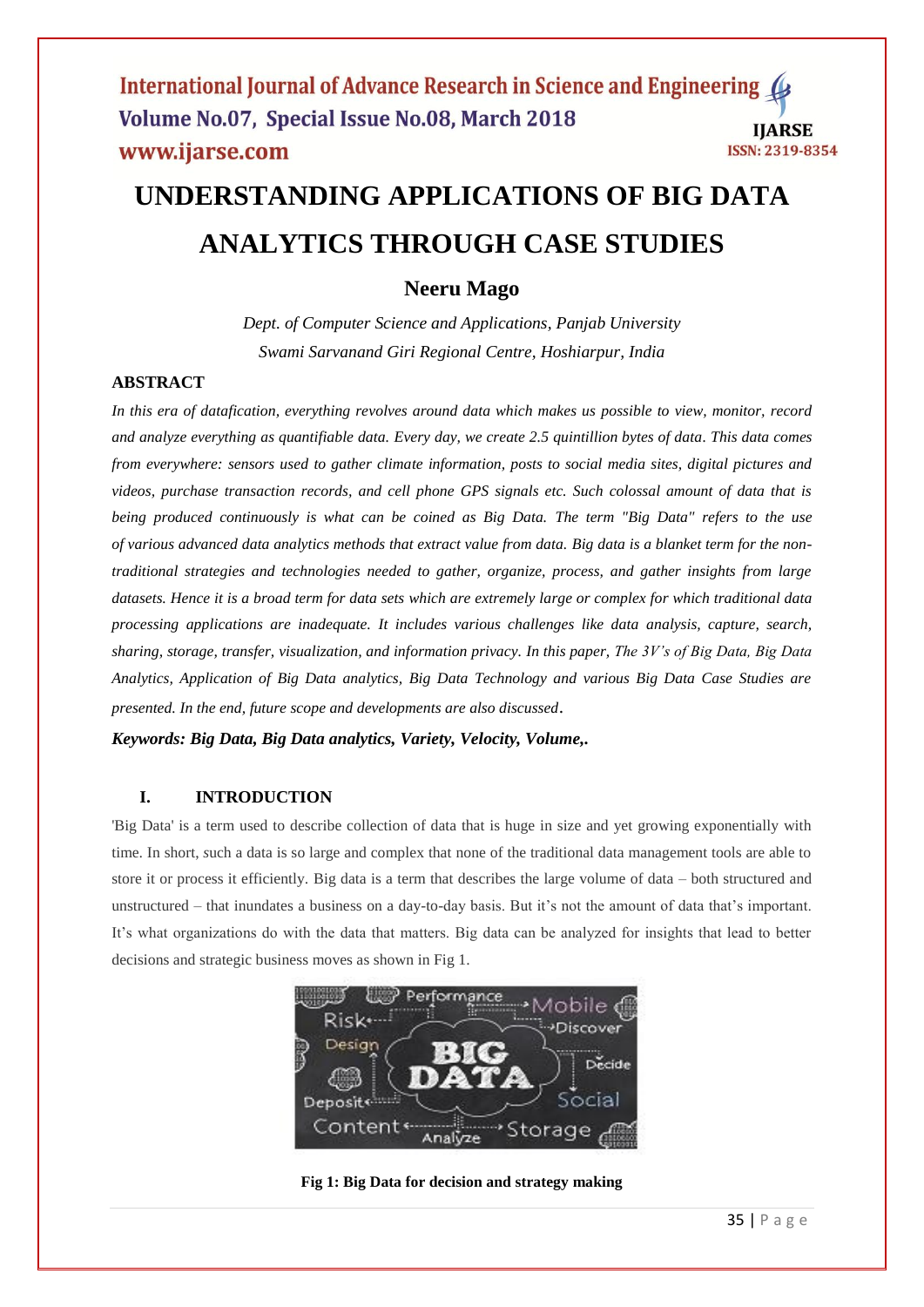# **UNDERSTANDING APPLICATIONS OF BIG DATA ANALYTICS THROUGH CASE STUDIES**

# **Neeru Mago**

*Dept. of Computer Science and Applications, Panjab University Swami Sarvanand Giri Regional Centre, Hoshiarpur, India*

# **ABSTRACT**

*In this era of datafication, everything revolves around data which makes us possible to view, monitor, record and analyze everything as quantifiable data. Every day, we create 2.5 quintillion bytes of data. This data comes from everywhere: sensors used to gather climate information, posts to social media sites, digital pictures and videos, purchase transaction records, and cell phone GPS signals etc. Such colossal amount of data that is being produced continuously is what can be coined as Big Data. The term "Big Data" refers to the use of various advanced data analytics methods that extract value from data. Big data is a blanket term for the nontraditional strategies and technologies needed to gather, organize, process, and gather insights from large datasets. Hence it is a broad term for data sets which are extremely large or complex for which traditional data processing applications are inadequate. It includes various challenges like data analysis, capture, search, sharing, storage, transfer, visualization, and information privacy. In this paper, The 3V's of Big Data, Big Data Analytics, Application of Big Data analytics, Big Data Technology and various Big Data Case Studies are presented. In the end, future scope and developments are also discussed*.

*Keywords: Big Data, Big Data analytics, Variety, Velocity, Volume,.*

## **I. INTRODUCTION**

'Big Data' is a term used to describe collection of data that is huge in size and yet growing exponentially with time. In short, *s*uch a data is so large and complex that none of the traditional data management tools are able to store it or process it efficiently. Big data is a term that describes the large volume of data – both structured and unstructured – that inundates a business on a day-to-day basis. But it's not the amount of data that's important. It's what organizations do with the data that matters. Big data can be analyzed for insights that lead to better decisions and strategic business moves as shown in Fig 1.



**Fig 1: Big Data for decision and strategy making**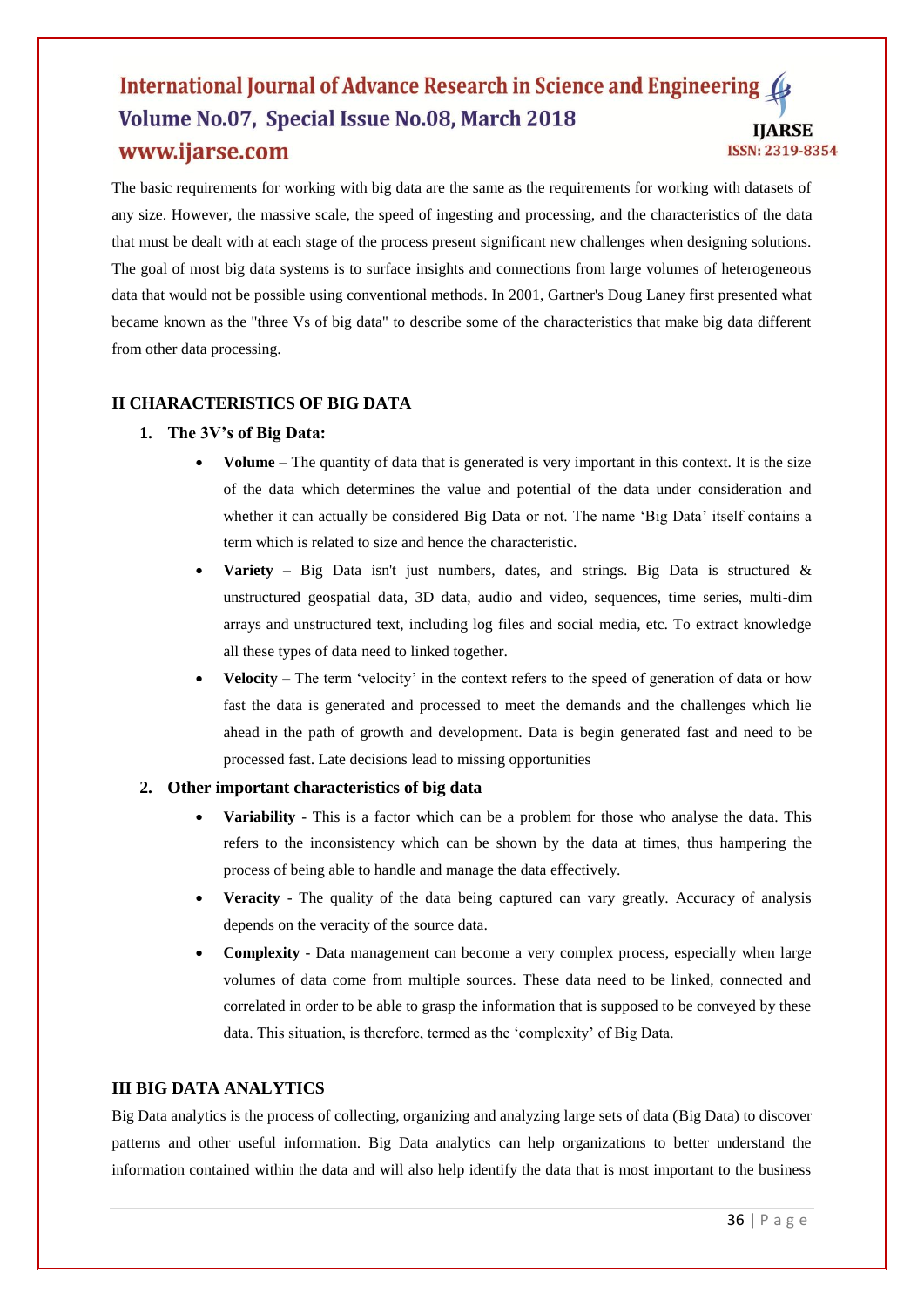The basic requirements for working with big data are the same as the requirements for working with datasets of any size. However, the massive scale, the speed of ingesting and processing, and the characteristics of the data that must be dealt with at each stage of the process present significant new challenges when designing solutions. The goal of most big data systems is to surface insights and connections from large volumes of heterogeneous data that would not be possible using conventional methods. In 2001, Gartner's Doug Laney first presented what became known as the "three Vs of big data" to describe some of the characteristics that make big data different from other data processing.

# **II CHARACTERISTICS OF BIG DATA**

## **1. The 3V's of Big Data:**

- **Volume** The quantity of data that is generated is very important in this context. It is the size of the data which determines the value and potential of the data under consideration and whether it can actually be considered Big Data or not. The name 'Big Data' itself contains a term which is related to size and hence the characteristic.
- **Variety** Big Data isn't just numbers, dates, and strings. Big Data is structured & unstructured geospatial data, 3D data, audio and video, sequences, time series, multi-dim arrays and unstructured text, including log files and social media, etc. To extract knowledge all these types of data need to linked together.
- **Velocity** The term 'velocity' in the context refers to the speed of generation of data or how fast the data is generated and processed to meet the demands and the challenges which lie ahead in the path of growth and development. Data is begin generated fast and need to be processed fast. Late decisions lead to missing opportunities

## **2. Other important characteristics of big data**

- **Variability** This is a factor which can be a problem for those who analyse the data. This refers to the inconsistency which can be shown by the data at times, thus hampering the process of being able to handle and manage the data effectively.
- **Veracity** The quality of the data being captured can vary greatly. Accuracy of analysis depends on the veracity of the source data.
- **Complexity** Data management can become a very complex process, especially when large volumes of data come from multiple sources. These data need to be linked, connected and correlated in order to be able to grasp the information that is supposed to be conveyed by these data. This situation, is therefore, termed as the 'complexity' of Big Data.

## **III BIG DATA ANALYTICS**

Big Data analytics is the process of collecting, organizing and analyzing large sets of data (Big [Data\)](http://www.webopedia.com/TERM/B/big_data.html) to discover patterns and other useful information. Big Data analytics can help organizations to better understand the information contained within the data and will also help identify the data that is most important to the business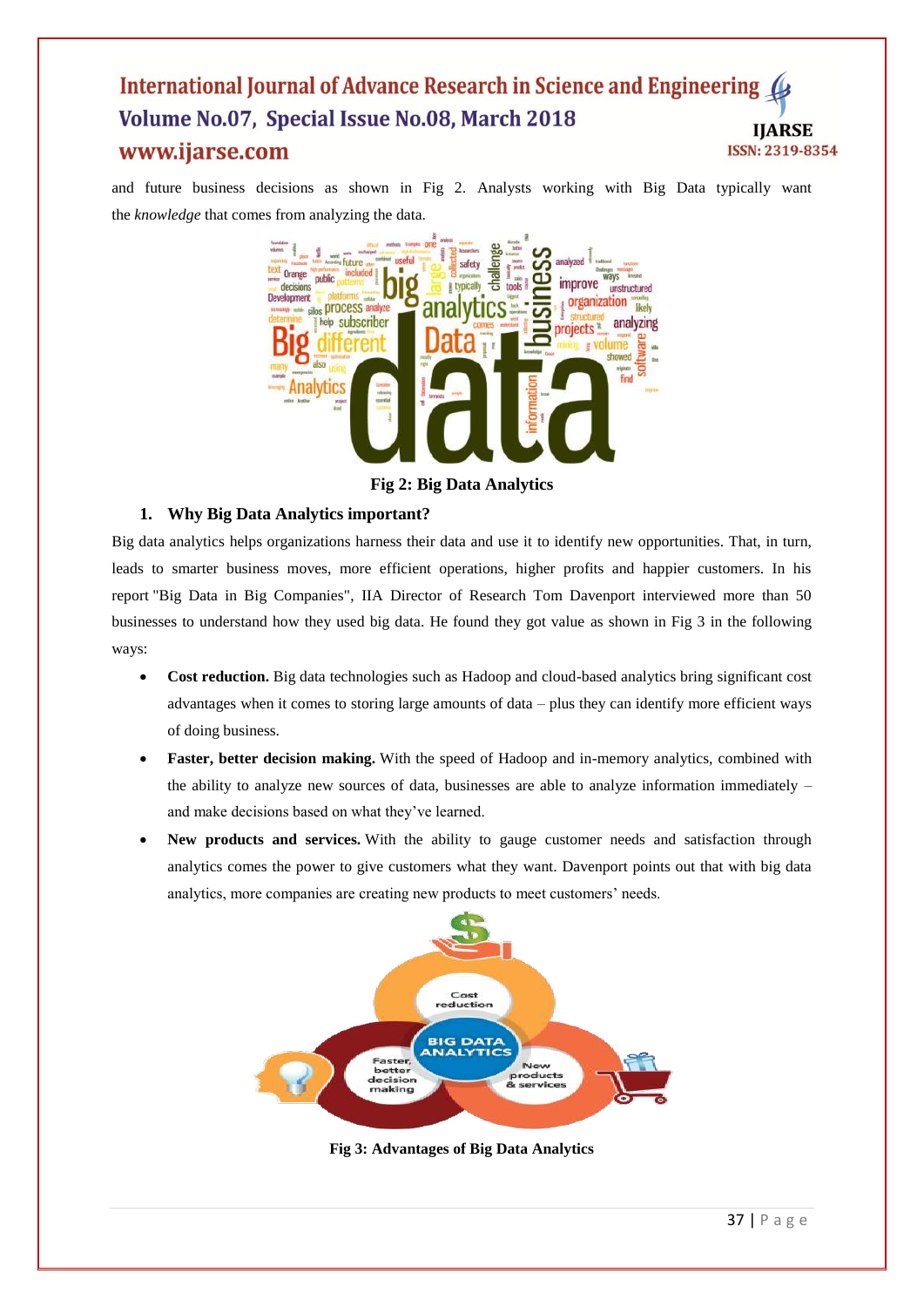and future business decisions as shown in Fig 2. Analysts working with Big Data typically want the *knowledge* that comes from analyzing the data.



**Fig 2: Big Data Analytics**

## **1. Why Big Data Analytics important?**

Big data analytics helps organizations harness their data and use it to identify new opportunities. That, in turn, leads to smarter business moves, more efficient operations, higher profits and happier customers. In his report "Big Data in Big Companies", IIA Director of Research Tom Davenport interviewed more than 50 businesses to understand how they used big data. He found they got value as shown in Fig 3 in the following ways:

- Cost reduction. Big data technologies such as Hadoop and cloud-based analytics bring significant cost advantages when it comes to storing large amounts of data – plus they can identify more efficient ways of doing business.
- **Faster, better decision making.** With the speed of Hadoop and in-memory analytics, combined with the ability to analyze new sources of data, businesses are able to analyze information immediately – and make decisions based on what they've learned.
- **New products and services.** With the ability to gauge customer needs and satisfaction through analytics comes the power to give customers what they want. Davenport points out that with big data analytics, more companies are creating new products to meet customers' needs.



**Fig 3: Advantages of Big Data Analytics**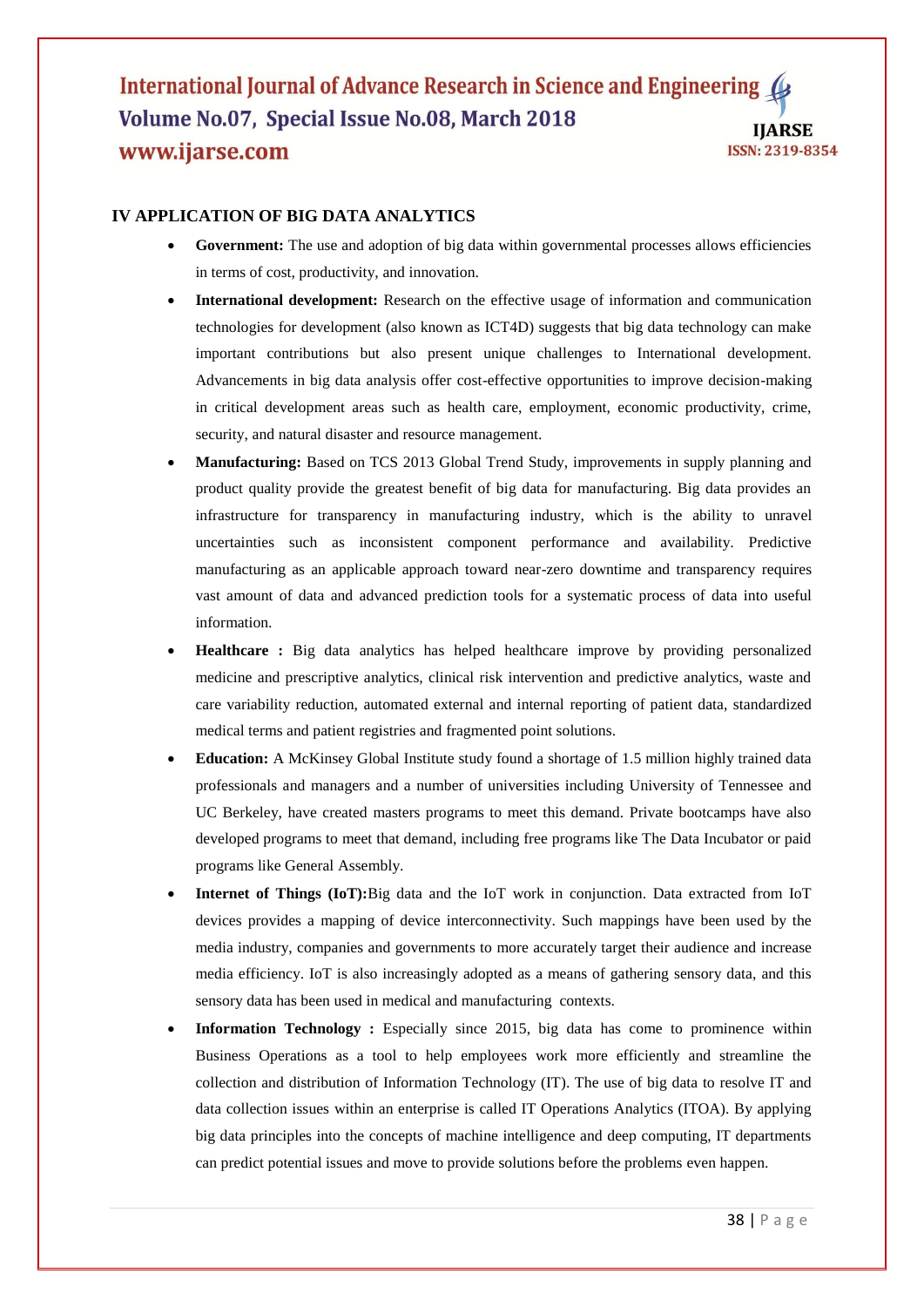## **IV APPLICATION OF BIG DATA ANALYTICS**

- **Government:** The use and adoption of big data within governmental processes allows efficiencies in terms of cost, productivity, and innovation.
- **International development:** Research on the effective usage of information and communication technologies for development (also known as ICT4D) suggests that big data technology can make important contributions but also present unique challenges to International development. Advancements in big data analysis offer cost-effective opportunities to improve decision-making in critical development areas such as health care, employment, economic productivity, crime, security, and natural disaster and resource management.
- **Manufacturing:** Based on TCS 2013 Global Trend Study, improvements in supply planning and product quality provide the greatest benefit of big data for manufacturing. Big data provides an infrastructure for transparency in manufacturing industry, which is the ability to unravel uncertainties such as inconsistent component performance and availability. Predictive manufacturing as an applicable approach toward near-zero downtime and transparency requires vast amount of data and advanced prediction tools for a systematic process of data into useful information.
- **Healthcare :** Big data analytics has helped healthcare improve by providing personalized medicine and prescriptive analytics, clinical risk intervention and predictive analytics, waste and care variability reduction, automated external and internal reporting of patient data, standardized medical terms and patient registries and fragmented point solutions.
- **Education:** A McKinsey Global Institute study found a shortage of 1.5 million highly trained data professionals and managers and a number of universities including University of Tennessee and UC Berkeley, have created masters programs to meet this demand. Private bootcamps have also developed programs to meet that demand, including free programs like The Data Incubator or paid programs like General Assembly.
- **Internet of Things (IoT):**Big data and the IoT work in conjunction. Data extracted from IoT devices provides a mapping of device interconnectivity. Such mappings have been used by the media industry, companies and governments to more accurately target their audience and increase media efficiency. IoT is also increasingly adopted as a means of gathering sensory data, and this sensory data has been used in medical and manufacturing contexts.
- **Information Technology :** Especially since 2015, big data has come to prominence within Business Operations as a tool to help employees work more efficiently and streamline the collection and distribution of Information Technology (IT). The use of big data to resolve IT and data collection issues within an enterprise is called IT Operations Analytics (ITOA). By applying big data principles into the concepts of machine intelligence and deep computing, IT departments can predict potential issues and move to provide solutions before the problems even happen.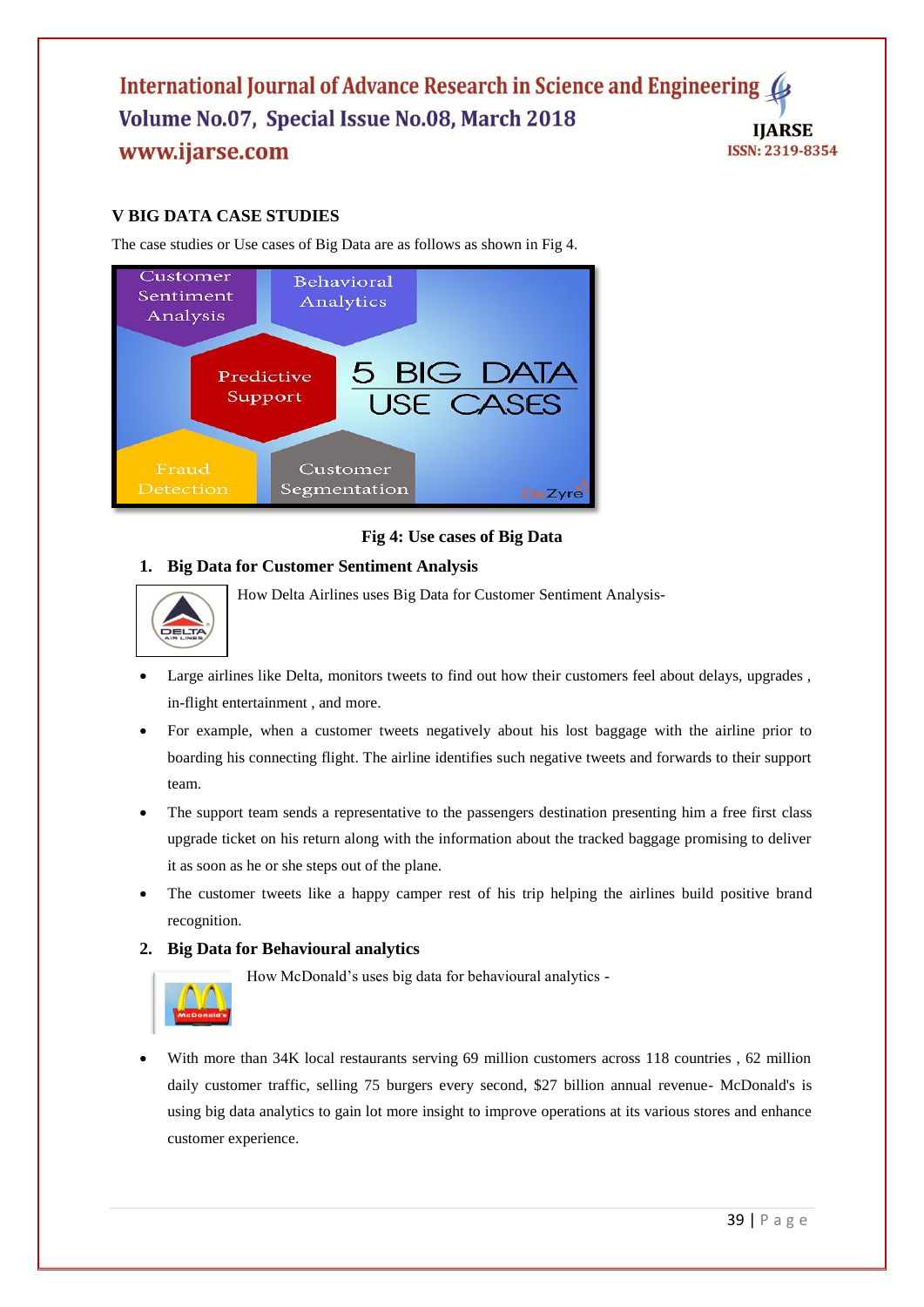# **V BIG DATA CASE STUDIES**

The case studies or Use cases of Big Data are as follows as shown in Fig 4.



## **Fig 4: Use cases of Big Data**

# **1. Big Data for Customer Sentiment Analysis**



How Delta Airlines uses Big Data for Customer Sentiment Analysis-

- Large airlines like Delta, monitors tweets to find out how their customers feel about delays, upgrades, in-flight entertainment , and more.
- For example, when a customer tweets negatively about his lost baggage with the airline prior to boarding his connecting flight. The airline identifies such negative tweets and forwards to their support team.
- The support team sends a representative to the passengers destination presenting him a free first class upgrade ticket on his return along with the information about the tracked baggage promising to deliver it as soon as he or she steps out of the plane.
- The customer tweets like a happy camper rest of his trip helping the airlines build positive brand recognition.

## **2. Big Data for Behavioural analytics**

How McDonald's uses big data for behavioural analytics -



With more than 34K local restaurants serving 69 million customers across 118 countries , 62 million daily customer traffic, selling 75 burgers every second, \$27 billion annual revenue- McDonald's is using big data analytics to gain lot more insight to improve operations at its various stores and enhance customer experience.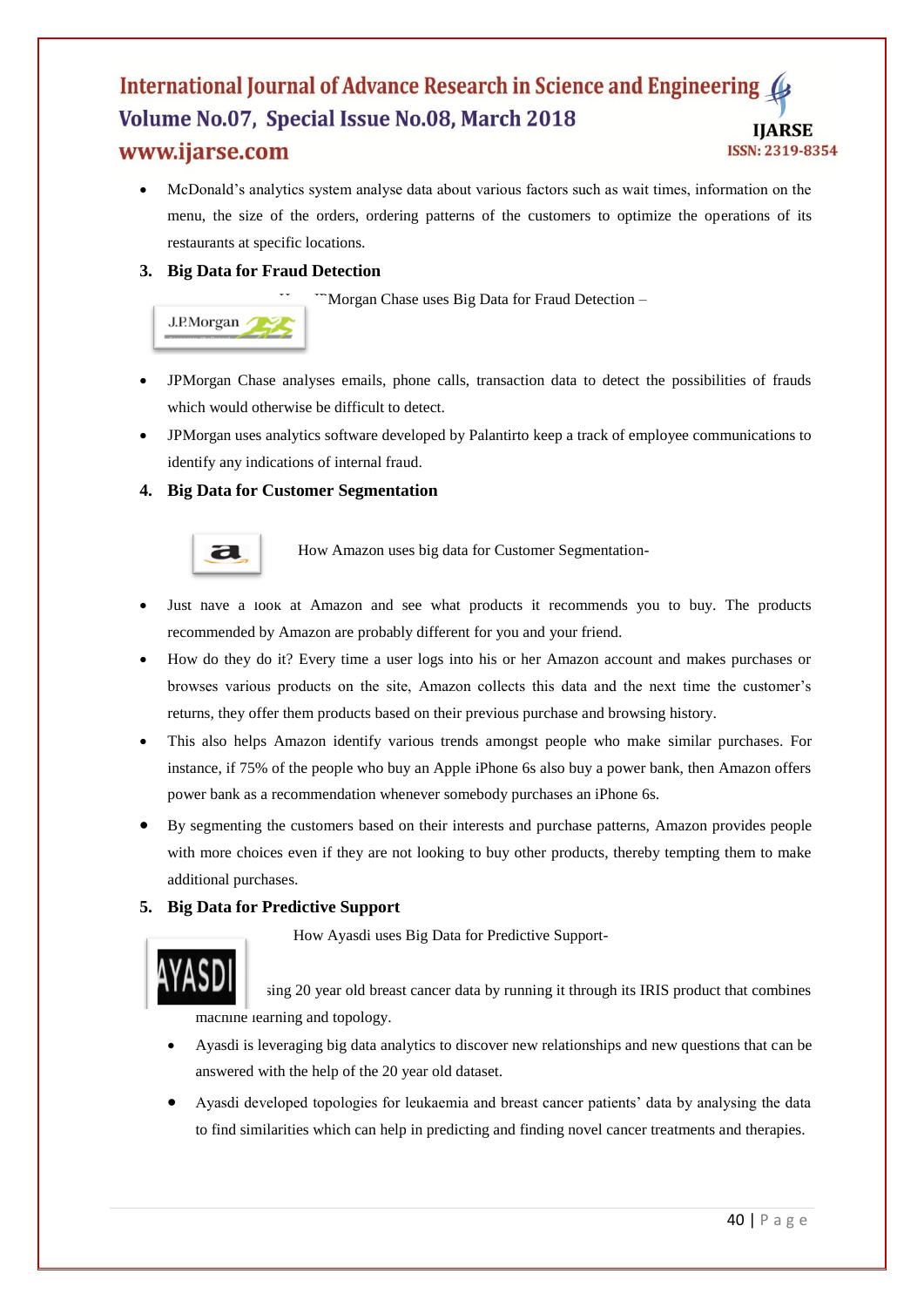McDonald's analytics system analyse data about various factors such as wait times, information on the menu, the size of the orders, ordering patterns of the customers to optimize the operations of its restaurants at specific locations.

# **3. Big Data for Fraud Detection**

 $\mathbb{R}$ Morgan Chase uses Big Data for Fraud Detection –



- JPMorgan Chase analyses emails, phone calls, transaction data to detect the possibilities of frauds which would otherwise be difficult to detect.
- JPMorgan uses analytics software developed by Palantirto keep a track of employee communications to identify any indications of internal fraud.

# **4. Big Data for Customer Segmentation**



**How Amazon uses big data for Customer Segmentation-**

- Just have a look at Amazon and see what products it recommends you to buy. The products recommended by Amazon are probably different for you and your friend.
- How do they do it? Every time a user logs into his or her Amazon account and makes purchases or browses various products on the site, Amazon collects this data and the next time the customer's returns, they offer them products based on their previous purchase and browsing history.
- This also helps Amazon identify various trends amongst people who make similar purchases. For instance, if 75% of the people who buy an Apple iPhone 6s also buy a power bank, then Amazon offers power bank as a recommendation whenever somebody purchases an iPhone 6s.
- By segmenting the customers based on their interests and purchase patterns, Amazon provides people with more choices even if they are not looking to buy other products, thereby tempting them to make additional purchases.

## **5. Big Data for Predictive Support**

How Ayasdi uses Big Data for Predictive Support-



sing 20 year old breast cancer data by running it through its IRIS product that combines macnine learning and topology.

- Ayasdi is leveraging big data analytics to discover new relationships and new questions that can be answered with the help of the 20 year old dataset.
- Ayasdi developed topologies for leukaemia and breast cancer patients' data by analysing the data to find similarities which can help in predicting and finding novel cancer treatments and therapies.